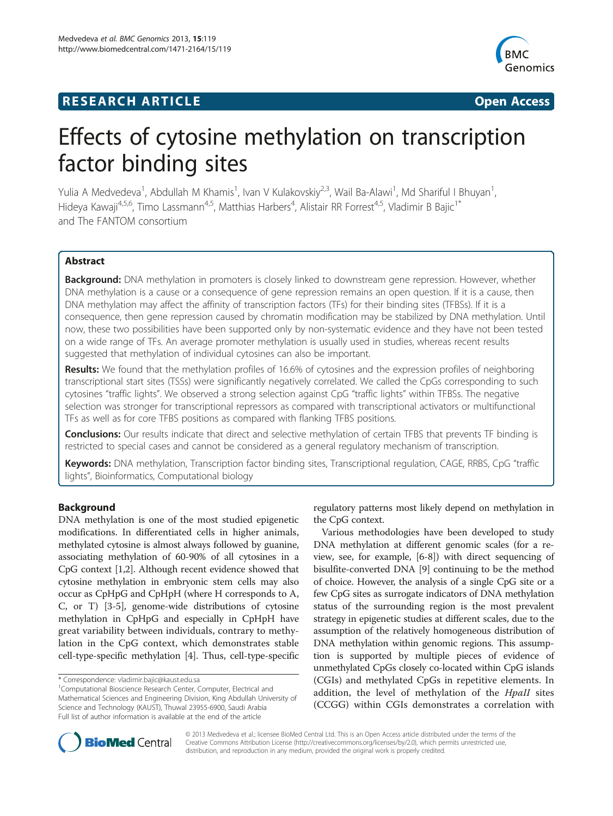## **RESEARCH ARTICLE Example 2014 CONSIDERING CONSIDERING CONSIDERING CONSIDERING CONSIDERING CONSIDERING CONSIDERING CONSIDERING CONSIDERING CONSIDERING CONSIDERING CONSIDERING CONSIDERING CONSIDERING CONSIDERING CONSIDE**



# Effects of cytosine methylation on transcription factor binding sites

Yulia A Medvedeva<sup>1</sup>, Abdullah M Khamis<sup>1</sup>, Ivan V Kulakovskiy<sup>2,3</sup>, Wail Ba-Alawi<sup>1</sup>, Md Shariful I Bhuyan<sup>1</sup> , Hideya Kawaji<sup>4,5,6</sup>, Timo Lassmann<sup>4,5</sup>, Matthias Harbers<sup>4</sup>, Alistair RR Forrest<sup>4,5</sup>, Vladimir B Bajic<sup>1\*</sup> and The FANTOM consortium

## Abstract

Background: DNA methylation in promoters is closely linked to downstream gene repression. However, whether DNA methylation is a cause or a consequence of gene repression remains an open question. If it is a cause, then DNA methylation may affect the affinity of transcription factors (TFs) for their binding sites (TFBSs). If it is a consequence, then gene repression caused by chromatin modification may be stabilized by DNA methylation. Until now, these two possibilities have been supported only by non-systematic evidence and they have not been tested on a wide range of TFs. An average promoter methylation is usually used in studies, whereas recent results suggested that methylation of individual cytosines can also be important.

Results: We found that the methylation profiles of 16.6% of cytosines and the expression profiles of neighboring transcriptional start sites (TSSs) were significantly negatively correlated. We called the CpGs corresponding to such cytosines "traffic lights". We observed a strong selection against CpG "traffic lights" within TFBSs. The negative selection was stronger for transcriptional repressors as compared with transcriptional activators or multifunctional TFs as well as for core TFBS positions as compared with flanking TFBS positions.

Conclusions: Our results indicate that direct and selective methylation of certain TFBS that prevents TF binding is restricted to special cases and cannot be considered as a general regulatory mechanism of transcription.

Keywords: DNA methylation, Transcription factor binding sites, Transcriptional regulation, CAGE, RRBS, CpG "traffic lights", Bioinformatics, Computational biology

## Background

DNA methylation is one of the most studied epigenetic modifications. In differentiated cells in higher animals, methylated cytosine is almost always followed by guanine, associating methylation of 60-90% of all cytosines in a CpG context [[1,2](#page-9-0)]. Although recent evidence showed that cytosine methylation in embryonic stem cells may also occur as CpHpG and CpHpH (where H corresponds to A, C, or T) [\[3](#page-9-0)-[5\]](#page-9-0), genome-wide distributions of cytosine methylation in CpHpG and especially in CpHpH have great variability between individuals, contrary to methylation in the CpG context, which demonstrates stable cell-type-specific methylation [[4](#page-9-0)]. Thus, cell-type-specific

regulatory patterns most likely depend on methylation in the CpG context.

Various methodologies have been developed to study DNA methylation at different genomic scales (for a review, see, for example, [[6](#page-9-0)-[8\]](#page-9-0)) with direct sequencing of bisulfite-converted DNA [\[9](#page-9-0)] continuing to be the method of choice. However, the analysis of a single CpG site or a few CpG sites as surrogate indicators of DNA methylation status of the surrounding region is the most prevalent strategy in epigenetic studies at different scales, due to the assumption of the relatively homogeneous distribution of DNA methylation within genomic regions. This assumption is supported by multiple pieces of evidence of unmethylated CpGs closely co-located within CpG islands (CGIs) and methylated CpGs in repetitive elements. In addition, the level of methylation of the HpaII sites (CCGG) within CGIs demonstrates a correlation with



© 2013 Medvedeva et al.; licensee BioMed Central Ltd. This is an Open Access article distributed under the terms of the Creative Commons Attribution License (<http://creativecommons.org/licenses/by/2.0>), which permits unrestricted use, distribution, and reproduction in any medium, provided the original work is properly credited.

<sup>\*</sup> Correspondence: [vladimir.bajic@kaust.edu.sa](mailto:vladimir.bajic@kaust.edu.sa) <sup>1</sup>

<sup>&</sup>lt;sup>1</sup> Computational Bioscience Research Center, Computer, Electrical and Mathematical Sciences and Engineering Division, King Abdullah University of Science and Technology (KAUST), Thuwal 23955-6900, Saudi Arabia Full list of author information is available at the end of the article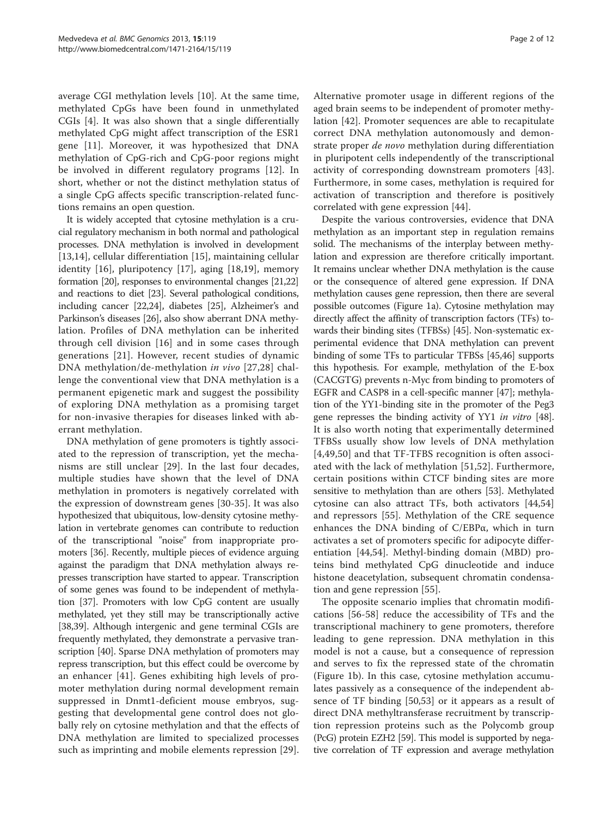average CGI methylation levels [\[10](#page-9-0)]. At the same time, methylated CpGs have been found in unmethylated CGIs [\[4](#page-9-0)]. It was also shown that a single differentially methylated CpG might affect transcription of the ESR1 gene [[11\]](#page-9-0). Moreover, it was hypothesized that DNA methylation of CpG-rich and CpG-poor regions might be involved in different regulatory programs [[12](#page-9-0)]. In short, whether or not the distinct methylation status of a single CpG affects specific transcription-related functions remains an open question.

It is widely accepted that cytosine methylation is a crucial regulatory mechanism in both normal and pathological processes. DNA methylation is involved in development [[13,14](#page-9-0)], cellular differentiation [\[15](#page-9-0)], maintaining cellular identity [[16\]](#page-9-0), pluripotency [\[17](#page-9-0)], aging [\[18](#page-10-0),[19\]](#page-10-0), memory formation [\[20\]](#page-10-0), responses to environmental changes [[21,22](#page-10-0)] and reactions to diet [[23](#page-10-0)]. Several pathological conditions, including cancer [\[22,24](#page-10-0)], diabetes [[25](#page-10-0)], Alzheimer's and Parkinson's diseases [\[26\]](#page-10-0), also show aberrant DNA methylation. Profiles of DNA methylation can be inherited through cell division [\[16\]](#page-9-0) and in some cases through generations [\[21\]](#page-10-0). However, recent studies of dynamic DNA methylation/de-methylation in vivo [[27](#page-10-0),[28\]](#page-10-0) challenge the conventional view that DNA methylation is a permanent epigenetic mark and suggest the possibility of exploring DNA methylation as a promising target for non-invasive therapies for diseases linked with aberrant methylation.

DNA methylation of gene promoters is tightly associated to the repression of transcription, yet the mechanisms are still unclear [\[29](#page-10-0)]. In the last four decades, multiple studies have shown that the level of DNA methylation in promoters is negatively correlated with the expression of downstream genes [\[30](#page-10-0)-[35\]](#page-10-0). It was also hypothesized that ubiquitous, low-density cytosine methylation in vertebrate genomes can contribute to reduction of the transcriptional "noise" from inappropriate promoters [[36](#page-10-0)]. Recently, multiple pieces of evidence arguing against the paradigm that DNA methylation always represses transcription have started to appear. Transcription of some genes was found to be independent of methylation [\[37](#page-10-0)]. Promoters with low CpG content are usually methylated, yet they still may be transcriptionally active [[38,39](#page-10-0)]. Although intergenic and gene terminal CGIs are frequently methylated, they demonstrate a pervasive transcription [[40](#page-10-0)]. Sparse DNA methylation of promoters may repress transcription, but this effect could be overcome by an enhancer [\[41](#page-10-0)]. Genes exhibiting high levels of promoter methylation during normal development remain suppressed in Dnmt1-deficient mouse embryos, suggesting that developmental gene control does not globally rely on cytosine methylation and that the effects of DNA methylation are limited to specialized processes such as imprinting and mobile elements repression [\[29](#page-10-0)].

Alternative promoter usage in different regions of the aged brain seems to be independent of promoter methylation [[42](#page-10-0)]. Promoter sequences are able to recapitulate correct DNA methylation autonomously and demonstrate proper *de novo* methylation during differentiation in pluripotent cells independently of the transcriptional activity of corresponding downstream promoters [\[43](#page-10-0)]. Furthermore, in some cases, methylation is required for activation of transcription and therefore is positively correlated with gene expression [[44](#page-10-0)].

Despite the various controversies, evidence that DNA methylation as an important step in regulation remains solid. The mechanisms of the interplay between methylation and expression are therefore critically important. It remains unclear whether DNA methylation is the cause or the consequence of altered gene expression. If DNA methylation causes gene repression, then there are several possible outcomes (Figure [1](#page-2-0)a). Cytosine methylation may directly affect the affinity of transcription factors (TFs) towards their binding sites (TFBSs) [\[45\]](#page-10-0). Non-systematic experimental evidence that DNA methylation can prevent binding of some TFs to particular TFBSs [\[45,46\]](#page-10-0) supports this hypothesis. For example, methylation of the E-box (CACGTG) prevents n-Myc from binding to promoters of EGFR and CASP8 in a cell-specific manner [\[47](#page-10-0)]; methylation of the YY1-binding site in the promoter of the Peg3 gene represses the binding activity of YY1 in vitro [[48](#page-10-0)]. It is also worth noting that experimentally determined TFBSs usually show low levels of DNA methylation [[4](#page-9-0)[,49,50](#page-10-0)] and that TF-TFBS recognition is often associated with the lack of methylation [[51](#page-10-0),[52\]](#page-10-0). Furthermore, certain positions within CTCF binding sites are more sensitive to methylation than are others [[53](#page-10-0)]. Methylated cytosine can also attract TFs, both activators [\[44,54](#page-10-0)] and repressors [[55](#page-10-0)]. Methylation of the CRE sequence enhances the DNA binding of C/EBPα, which in turn activates a set of promoters specific for adipocyte differentiation [[44,54\]](#page-10-0). Methyl-binding domain (MBD) proteins bind methylated CpG dinucleotide and induce histone deacetylation, subsequent chromatin condensation and gene repression [[55\]](#page-10-0).

The opposite scenario implies that chromatin modifications [\[56](#page-10-0)-[58](#page-10-0)] reduce the accessibility of TFs and the transcriptional machinery to gene promoters, therefore leading to gene repression. DNA methylation in this model is not a cause, but a consequence of repression and serves to fix the repressed state of the chromatin (Figure [1b](#page-2-0)). In this case, cytosine methylation accumulates passively as a consequence of the independent absence of TF binding [[50,53](#page-10-0)] or it appears as a result of direct DNA methyltransferase recruitment by transcription repression proteins such as the Polycomb group (PcG) protein EZH2 [[59](#page-10-0)]. This model is supported by negative correlation of TF expression and average methylation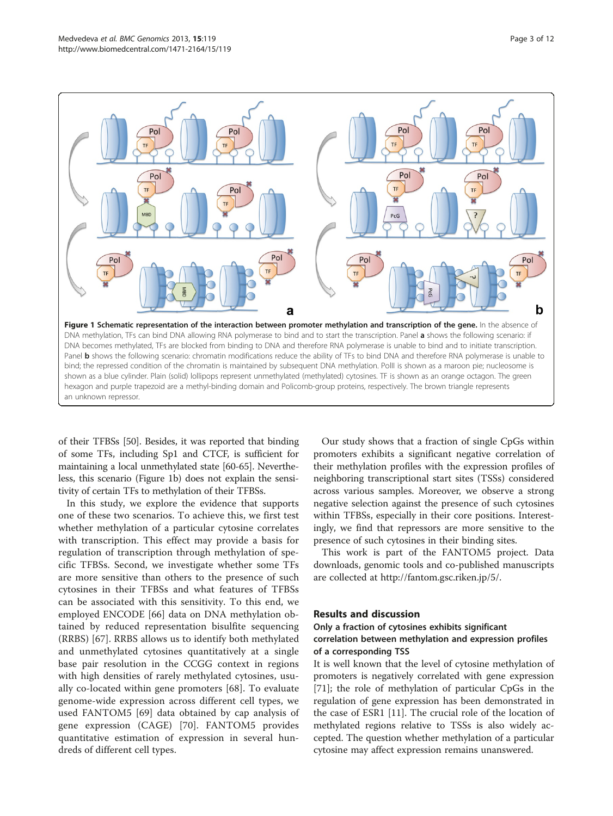<span id="page-2-0"></span>

of their TFBSs [[50](#page-10-0)]. Besides, it was reported that binding of some TFs, including Sp1 and CTCF, is sufficient for maintaining a local unmethylated state [\[60](#page-10-0)[-65](#page-11-0)]. Nevertheless, this scenario (Figure 1b) does not explain the sensitivity of certain TFs to methylation of their TFBSs.

In this study, we explore the evidence that supports one of these two scenarios. To achieve this, we first test whether methylation of a particular cytosine correlates with transcription. This effect may provide a basis for regulation of transcription through methylation of specific TFBSs. Second, we investigate whether some TFs are more sensitive than others to the presence of such cytosines in their TFBSs and what features of TFBSs can be associated with this sensitivity. To this end, we employed ENCODE [\[66](#page-11-0)] data on DNA methylation obtained by reduced representation bisulfite sequencing (RRBS) [[67\]](#page-11-0). RRBS allows us to identify both methylated and unmethylated cytosines quantitatively at a single base pair resolution in the CCGG context in regions with high densities of rarely methylated cytosines, usually co-located within gene promoters [[68\]](#page-11-0). To evaluate genome-wide expression across different cell types, we used FANTOM5 [\[69](#page-11-0)] data obtained by cap analysis of gene expression (CAGE) [[70\]](#page-11-0). FANTOM5 provides quantitative estimation of expression in several hundreds of different cell types.

Our study shows that a fraction of single CpGs within promoters exhibits a significant negative correlation of their methylation profiles with the expression profiles of neighboring transcriptional start sites (TSSs) considered across various samples. Moreover, we observe a strong negative selection against the presence of such cytosines within TFBSs, especially in their core positions. Interestingly, we find that repressors are more sensitive to the presence of such cytosines in their binding sites.

This work is part of the FANTOM5 project. Data downloads, genomic tools and co-published manuscripts are collected at<http://fantom.gsc.riken.jp/5/>.

#### Results and discussion

### Only a fraction of cytosines exhibits significant correlation between methylation and expression profiles of a corresponding TSS

It is well known that the level of cytosine methylation of promoters is negatively correlated with gene expression [[71\]](#page-11-0); the role of methylation of particular CpGs in the regulation of gene expression has been demonstrated in the case of ESR1 [\[11](#page-9-0)]. The crucial role of the location of methylated regions relative to TSSs is also widely accepted. The question whether methylation of a particular cytosine may affect expression remains unanswered.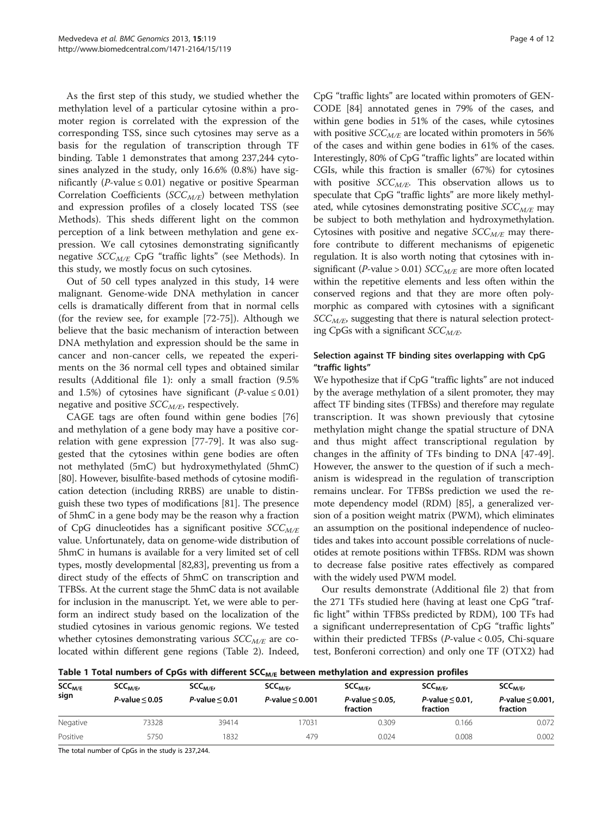<span id="page-3-0"></span>As the first step of this study, we studied whether the methylation level of a particular cytosine within a promoter region is correlated with the expression of the corresponding TSS, since such cytosines may serve as a basis for the regulation of transcription through TF binding. Table 1 demonstrates that among 237,244 cytosines analyzed in the study, only 16.6% (0.8%) have significantly ( $P$ -value  $\leq$  0.01) negative or positive Spearman Correlation Coefficients ( $SCC<sub>M/F</sub>$ ) between methylation and expression profiles of a closely located TSS (see Methods). This sheds different light on the common perception of a link between methylation and gene expression. We call cytosines demonstrating significantly negative  $SCC_{M/E}$  CpG "traffic lights" (see [Methods](#page-6-0)). In this study, we mostly focus on such cytosines.

Out of 50 cell types analyzed in this study, 14 were malignant. Genome-wide DNA methylation in cancer cells is dramatically different from that in normal cells (for the review see, for example [\[72](#page-11-0)-[75\]](#page-11-0)). Although we believe that the basic mechanism of interaction between DNA methylation and expression should be the same in cancer and non-cancer cells, we repeated the experiments on the 36 normal cell types and obtained similar results (Additional file [1](#page-8-0)): only a small fraction (9.5% and 1.5%) of cytosines have significant ( $P$ -value  $\leq 0.01$ ) negative and positive  $SCC_{M/E}$ , respectively.

CAGE tags are often found within gene bodies [[76](#page-11-0)] and methylation of a gene body may have a positive correlation with gene expression [\[77-79](#page-11-0)]. It was also suggested that the cytosines within gene bodies are often not methylated (5mC) but hydroxymethylated (5hmC) [[80](#page-11-0)]. However, bisulfite-based methods of cytosine modification detection (including RRBS) are unable to distinguish these two types of modifications [\[81\]](#page-11-0). The presence of 5hmC in a gene body may be the reason why a fraction of CpG dinucleotides has a significant positive  $SCC_{M/E}$ value. Unfortunately, data on genome-wide distribution of 5hmC in humans is available for a very limited set of cell types, mostly developmental [[82,83\]](#page-11-0), preventing us from a direct study of the effects of 5hmC on transcription and TFBSs. At the current stage the 5hmC data is not available for inclusion in the manuscript. Yet, we were able to perform an indirect study based on the localization of the studied cytosines in various genomic regions. We tested whether cytosines demonstrating various  $SCC_{M/E}$  are colocated within different gene regions (Table [2](#page-4-0)). Indeed,

CpG "traffic lights" are located within promoters of GEN-CODE [[84](#page-11-0)] annotated genes in 79% of the cases, and within gene bodies in 51% of the cases, while cytosines with positive  $SCC_{M/E}$  are located within promoters in 56% of the cases and within gene bodies in 61% of the cases. Interestingly, 80% of CpG "traffic lights" are located within CGIs, while this fraction is smaller (67%) for cytosines with positive  $SCC_{M/E}$ . This observation allows us to speculate that CpG "traffic lights" are more likely methylated, while cytosines demonstrating positive  $SCC_{M/E}$  may be subject to both methylation and hydroxymethylation. Cytosines with positive and negative  $SCC_{M/E}$  may therefore contribute to different mechanisms of epigenetic regulation. It is also worth noting that cytosines with insignificant (P-value > 0.01)  $SCC_{M/E}$  are more often located within the repetitive elements and less often within the conserved regions and that they are more often polymorphic as compared with cytosines with a significant  $SCC<sub>M/E</sub>$ , suggesting that there is natural selection protecting CpGs with a significant  $SCC_{M/F}$ .

## Selection against TF binding sites overlapping with CpG "traffic lights"

We hypothesize that if CpG "traffic lights" are not induced by the average methylation of a silent promoter, they may affect TF binding sites (TFBSs) and therefore may regulate transcription. It was shown previously that cytosine methylation might change the spatial structure of DNA and thus might affect transcriptional regulation by changes in the affinity of TFs binding to DNA [\[47-49](#page-10-0)]. However, the answer to the question of if such a mechanism is widespread in the regulation of transcription remains unclear. For TFBSs prediction we used the remote dependency model (RDM) [\[85\]](#page-11-0), a generalized version of a position weight matrix (PWM), which eliminates an assumption on the positional independence of nucleotides and takes into account possible correlations of nucleotides at remote positions within TFBSs. RDM was shown to decrease false positive rates effectively as compared with the widely used PWM model.

Our results demonstrate (Additional file [2](#page-8-0)) that from the 271 TFs studied here (having at least one CpG "traffic light" within TFBSs predicted by RDM), 100 TFs had a significant underrepresentation of CpG "traffic lights" within their predicted TFBSs  $(P$ -value < 0.05, Chi-square test, Bonferoni correction) and only one TF (OTX2) had

Table 1 Total numbers of CpGs with different  $SC_{M/E}$  between methylation and expression profiles

| SCC <sub>M/E</sub><br>sign | SCC <sub>M/E</sub>  | SCC <sub>M/E</sub>  | SCC <sub>M/E</sub>   | SCC <sub>M/E</sub>               | SCC <sub>M/E</sub>               | SCC <sub>M/E</sub>                |  |
|----------------------------|---------------------|---------------------|----------------------|----------------------------------|----------------------------------|-----------------------------------|--|
|                            | $P$ -value $<$ 0.05 | $P$ -value $<$ 0.01 | $P$ -value $< 0.001$ | P-value $\leq$ 0.05,<br>fraction | P-value $\leq$ 0.01,<br>fraction | P-value $\leq$ 0.001,<br>fraction |  |
| Negative                   | 73328               | 39414               | 17031                | 0.309                            | 0.166                            | 0.072                             |  |
| Positive                   | 5750                | 832                 | 479                  | 0.024                            | 0.008                            | 0.002                             |  |

The total number of CpGs in the study is 237,244.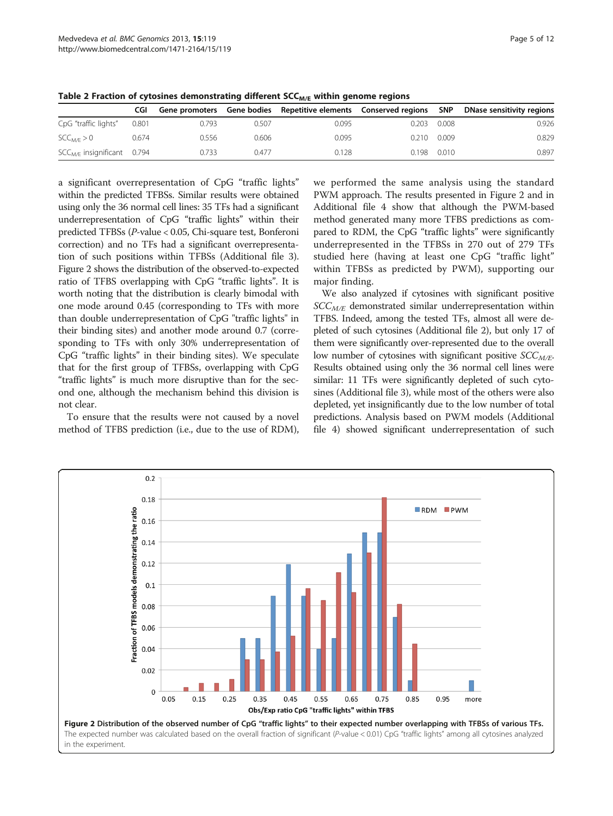|                              | CGI   |       |       | Gene promoters Gene bodies Repetitive elements Conserved regions SNP |               | DNase sensitivity regions |
|------------------------------|-------|-------|-------|----------------------------------------------------------------------|---------------|---------------------------|
| CpG "traffic lights"         | 0.801 | 0.793 | 0.507 | 0.095                                                                | $0.203$ 0.008 | 0.926                     |
| $SCC_{M/F} > 0$              | 0.674 | 0.556 | 0.606 | 0.095                                                                | 0.210 0.009   | 0.829                     |
| $SCCM/F$ insignificant 0.794 |       | 0.733 | 0.477 | 0.128                                                                | 0.198 0.010   | 0.897                     |

<span id="page-4-0"></span>Table 2 Fraction of cytosines demonstrating different  $SCC<sub>M/E</sub>$  within genome regions

a significant overrepresentation of CpG "traffic lights" within the predicted TFBSs. Similar results were obtained using only the 36 normal cell lines: 35 TFs had a significant underrepresentation of CpG "traffic lights" within their predicted TFBSs (P-value < 0.05, Chi-square test, Bonferoni correction) and no TFs had a significant overrepresentation of such positions within TFBSs (Additional file [3](#page-8-0)). Figure 2 shows the distribution of the observed-to-expected ratio of TFBS overlapping with CpG "traffic lights". It is worth noting that the distribution is clearly bimodal with one mode around 0.45 (corresponding to TFs with more than double underrepresentation of CpG "traffic lights" in their binding sites) and another mode around 0.7 (corresponding to TFs with only 30% underrepresentation of CpG "traffic lights" in their binding sites). We speculate that for the first group of TFBSs, overlapping with CpG "traffic lights" is much more disruptive than for the second one, although the mechanism behind this division is not clear.

To ensure that the results were not caused by a novel method of TFBS prediction (i.e., due to the use of RDM), we performed the same analysis using the standard PWM approach. The results presented in Figure 2 and in Additional file [4](#page-8-0) show that although the PWM-based method generated many more TFBS predictions as compared to RDM, the CpG "traffic lights" were significantly underrepresented in the TFBSs in 270 out of 279 TFs studied here (having at least one CpG "traffic light" within TFBSs as predicted by PWM), supporting our major finding.

We also analyzed if cytosines with significant positive  $SCC_{M/E}$  demonstrated similar underrepresentation within TFBS. Indeed, among the tested TFs, almost all were depleted of such cytosines (Additional file [2](#page-8-0)), but only 17 of them were significantly over-represented due to the overall low number of cytosines with significant positive  $SCC_{M/F}$ . Results obtained using only the 36 normal cell lines were similar: 11 TFs were significantly depleted of such cytosines (Additional file [3](#page-8-0)), while most of the others were also depleted, yet insignificantly due to the low number of total predictions. Analysis based on PWM models (Additional file [4](#page-8-0)) showed significant underrepresentation of such

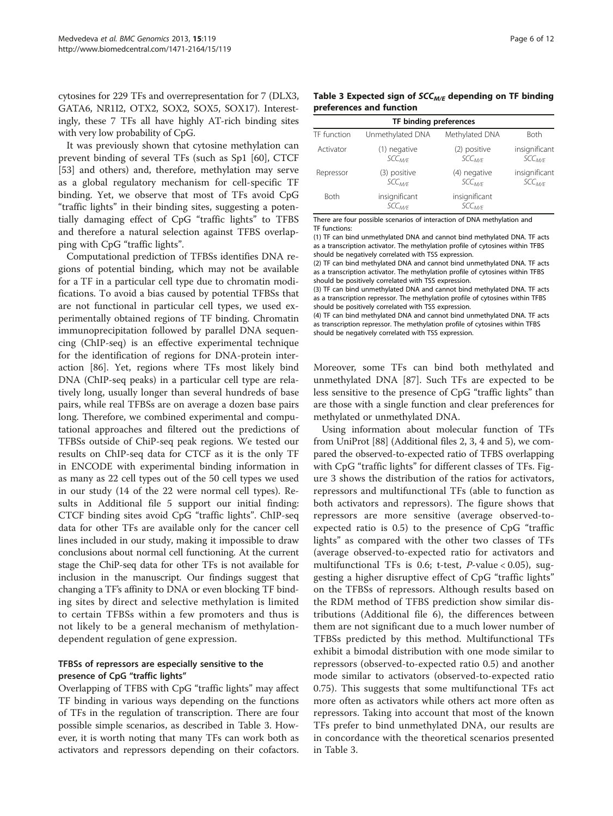cytosines for 229 TFs and overrepresentation for 7 (DLX3, GATA6, NR1I2, OTX2, SOX2, SOX5, SOX17). Interestingly, these 7 TFs all have highly AT-rich binding sites with very low probability of CpG.

It was previously shown that cytosine methylation can prevent binding of several TFs (such as Sp1 [[60\]](#page-10-0), CTCF [[53\]](#page-10-0) and others) and, therefore, methylation may serve as a global regulatory mechanism for cell-specific TF binding. Yet, we observe that most of TFs avoid CpG "traffic lights" in their binding sites, suggesting a potentially damaging effect of CpG "traffic lights" to TFBS and therefore a natural selection against TFBS overlapping with CpG "traffic lights".

Computational prediction of TFBSs identifies DNA regions of potential binding, which may not be available for a TF in a particular cell type due to chromatin modifications. To avoid a bias caused by potential TFBSs that are not functional in particular cell types, we used experimentally obtained regions of TF binding. Chromatin immunoprecipitation followed by parallel DNA sequencing (ChIP-seq) is an effective experimental technique for the identification of regions for DNA-protein interaction [[86](#page-11-0)]. Yet, regions where TFs most likely bind DNA (ChIP-seq peaks) in a particular cell type are relatively long, usually longer than several hundreds of base pairs, while real TFBSs are on average a dozen base pairs long. Therefore, we combined experimental and computational approaches and filtered out the predictions of TFBSs outside of ChiP-seq peak regions. We tested our results on ChIP-seq data for CTCF as it is the only TF in ENCODE with experimental binding information in as many as 22 cell types out of the 50 cell types we used in our study (14 of the 22 were normal cell types). Results in Additional file [5](#page-8-0) support our initial finding: CTCF binding sites avoid CpG "traffic lights". ChIP-seq data for other TFs are available only for the cancer cell lines included in our study, making it impossible to draw conclusions about normal cell functioning. At the current stage the ChiP-seq data for other TFs is not available for inclusion in the manuscript. Our findings suggest that changing a TF's affinity to DNA or even blocking TF binding sites by direct and selective methylation is limited to certain TFBSs within a few promoters and thus is not likely to be a general mechanism of methylationdependent regulation of gene expression.

### TFBSs of repressors are especially sensitive to the presence of CpG "traffic lights"

Overlapping of TFBS with CpG "traffic lights" may affect TF binding in various ways depending on the functions of TFs in the regulation of transcription. There are four possible simple scenarios, as described in Table 3. However, it is worth noting that many TFs can work both as activators and repressors depending on their cofactors.

#### Table 3 Expected sign of  $SCC_{M/E}$  depending on TF binding preferences and function

| TF binding preferences |                                |                               |                                |  |  |  |  |
|------------------------|--------------------------------|-------------------------------|--------------------------------|--|--|--|--|
| TF function            | Unmethylated DNA               | Methylated DNA                | <b>Both</b>                    |  |  |  |  |
| Activator              | (1) negative<br>$SCC_{M/F}$    | (2) positive<br>$SCC_{M/F}$   | insignificant<br>$SCC_{M/F}$   |  |  |  |  |
| Repressor              | (3) positive<br><b>SCCM/F</b>  | (4) negative<br><b>SCCM/F</b> | insignificant<br><b>SCCM/F</b> |  |  |  |  |
| <b>Both</b>            | insignificant<br><b>SCCM/F</b> | insignificant<br>$SCC_{M/F}$  |                                |  |  |  |  |

There are four possible scenarios of interaction of DNA methylation and TF functions:

(1) TF can bind unmethylated DNA and cannot bind methylated DNA. TF acts as a transcription activator. The methylation profile of cytosines within TFBS should be negatively correlated with TSS expression.

(2) TF can bind methylated DNA and cannot bind unmethylated DNA. TF acts as a transcription activator. The methylation profile of cytosines within TFBS should be positively correlated with TSS expression.

(3) TF can bind unmethylated DNA and cannot bind methylated DNA. TF acts as a transcription repressor. The methylation profile of cytosines within TFBS should be positively correlated with TSS expression.

(4) TF can bind methylated DNA and cannot bind unmethylated DNA. TF acts as transcription repressor. The methylation profile of cytosines within TFBS should be negatively correlated with TSS expression.

Moreover, some TFs can bind both methylated and unmethylated DNA [[87](#page-11-0)]. Such TFs are expected to be less sensitive to the presence of CpG "traffic lights" than are those with a single function and clear preferences for methylated or unmethylated DNA.

Using information about molecular function of TFs from UniProt [[88](#page-11-0)] (Additional files [2, 3](#page-8-0), [4](#page-8-0) and [5\)](#page-8-0), we compared the observed-to-expected ratio of TFBS overlapping with CpG "traffic lights" for different classes of TFs. Figure [3](#page-6-0) shows the distribution of the ratios for activators, repressors and multifunctional TFs (able to function as both activators and repressors). The figure shows that repressors are more sensitive (average observed-toexpected ratio is 0.5) to the presence of CpG "traffic lights" as compared with the other two classes of TFs (average observed-to-expected ratio for activators and multifunctional TFs is 0.6; t-test,  $P$ -value < 0.05), suggesting a higher disruptive effect of CpG "traffic lights" on the TFBSs of repressors. Although results based on the RDM method of TFBS prediction show similar distributions (Additional file [6\)](#page-9-0), the differences between them are not significant due to a much lower number of TFBSs predicted by this method. Multifunctional TFs exhibit a bimodal distribution with one mode similar to repressors (observed-to-expected ratio 0.5) and another mode similar to activators (observed-to-expected ratio 0.75). This suggests that some multifunctional TFs act more often as activators while others act more often as repressors. Taking into account that most of the known TFs prefer to bind unmethylated DNA, our results are in concordance with the theoretical scenarios presented in Table 3.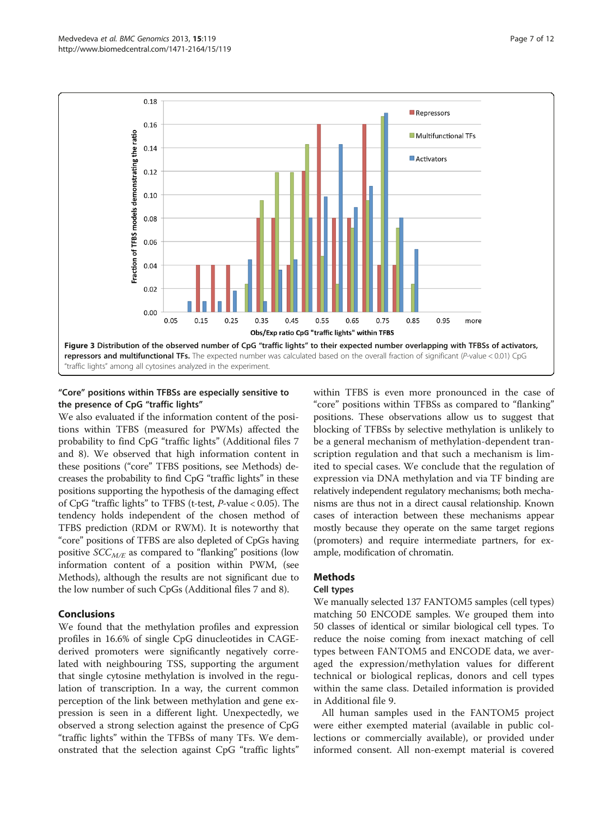<span id="page-6-0"></span>

## "Core" positions within TFBSs are especially sensitive to the presence of CpG "traffic lights"

We also evaluated if the information content of the positions within TFBS (measured for PWMs) affected the probability to find CpG "traffic lights" (Additional files [7](#page-9-0) and [8](#page-9-0)). We observed that high information content in these positions ("core" TFBS positions, see Methods) decreases the probability to find CpG "traffic lights" in these positions supporting the hypothesis of the damaging effect of CpG "traffic lights" to TFBS (t-test, P-value < 0.05). The tendency holds independent of the chosen method of TFBS prediction (RDM or RWM). It is noteworthy that "core" positions of TFBS are also depleted of CpGs having positive  $SCC_{M/E}$  as compared to "flanking" positions (low information content of a position within PWM, (see Methods), although the results are not significant due to the low number of such CpGs (Additional files [7](#page-9-0) and [8\)](#page-9-0).

#### Conclusions

We found that the methylation profiles and expression profiles in 16.6% of single CpG dinucleotides in CAGEderived promoters were significantly negatively correlated with neighbouring TSS, supporting the argument that single cytosine methylation is involved in the regulation of transcription. In a way, the current common perception of the link between methylation and gene expression is seen in a different light. Unexpectedly, we observed a strong selection against the presence of CpG "traffic lights" within the TFBSs of many TFs. We demonstrated that the selection against CpG "traffic lights" within TFBS is even more pronounced in the case of "core" positions within TFBSs as compared to "flanking" positions. These observations allow us to suggest that blocking of TFBSs by selective methylation is unlikely to be a general mechanism of methylation-dependent transcription regulation and that such a mechanism is limited to special cases. We conclude that the regulation of expression via DNA methylation and via TF binding are relatively independent regulatory mechanisms; both mechanisms are thus not in a direct causal relationship. Known cases of interaction between these mechanisms appear mostly because they operate on the same target regions (promoters) and require intermediate partners, for example, modification of chromatin.

## Methods

#### Cell types

We manually selected 137 FANTOM5 samples (cell types) matching 50 ENCODE samples. We grouped them into 50 classes of identical or similar biological cell types. To reduce the noise coming from inexact matching of cell types between FANTOM5 and ENCODE data, we averaged the expression/methylation values for different technical or biological replicas, donors and cell types within the same class. Detailed information is provided in Additional file [9.](#page-9-0)

All human samples used in the FANTOM5 project were either exempted material (available in public collections or commercially available), or provided under informed consent. All non-exempt material is covered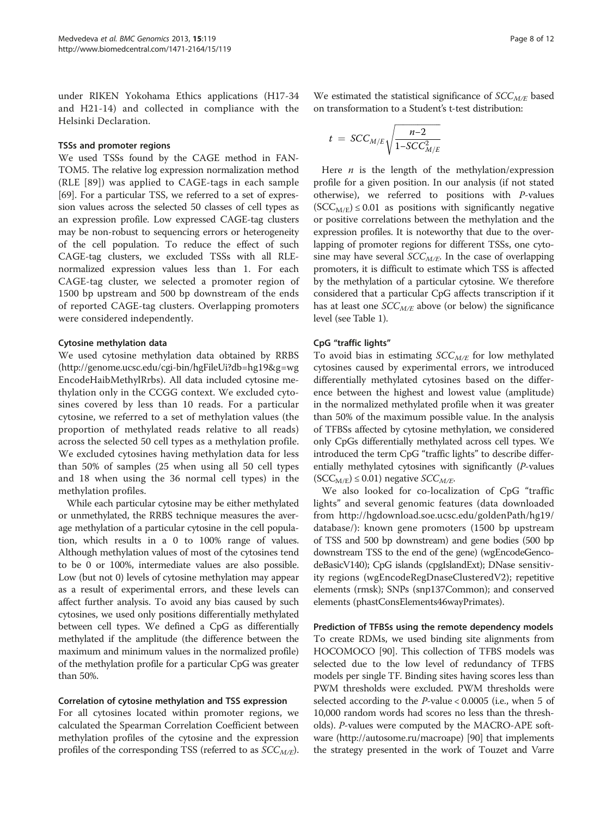under RIKEN Yokohama Ethics applications (H17-34 and H21-14) and collected in compliance with the Helsinki Declaration.

#### TSSs and promoter regions

We used TSSs found by the CAGE method in FAN-TOM5. The relative log expression normalization method (RLE [[89](#page-11-0)]) was applied to CAGE-tags in each sample [[69](#page-11-0)]. For a particular TSS, we referred to a set of expression values across the selected 50 classes of cell types as an expression profile. Low expressed CAGE-tag clusters may be non-robust to sequencing errors or heterogeneity of the cell population. To reduce the effect of such CAGE-tag clusters, we excluded TSSs with all RLEnormalized expression values less than 1. For each CAGE-tag cluster, we selected a promoter region of 1500 bp upstream and 500 bp downstream of the ends of reported CAGE-tag clusters. Overlapping promoters were considered independently.

#### Cytosine methylation data

We used cytosine methylation data obtained by RRBS ([http://genome.ucsc.edu/cgi-bin/hgFileUi?db=hg19&g=wg](http://genome.ucsc.edu/cgi-bin/hgFileUi?db=hg19&g=wgEncodeHaibMethylRrbs) [EncodeHaibMethylRrbs\)](http://genome.ucsc.edu/cgi-bin/hgFileUi?db=hg19&g=wgEncodeHaibMethylRrbs). All data included cytosine methylation only in the CCGG context. We excluded cytosines covered by less than 10 reads. For a particular cytosine, we referred to a set of methylation values (the proportion of methylated reads relative to all reads) across the selected 50 cell types as a methylation profile. We excluded cytosines having methylation data for less than 50% of samples (25 when using all 50 cell types and 18 when using the 36 normal cell types) in the methylation profiles.

While each particular cytosine may be either methylated or unmethylated, the RRBS technique measures the average methylation of a particular cytosine in the cell population, which results in a 0 to 100% range of values. Although methylation values of most of the cytosines tend to be 0 or 100%, intermediate values are also possible. Low (but not 0) levels of cytosine methylation may appear as a result of experimental errors, and these levels can affect further analysis. To avoid any bias caused by such cytosines, we used only positions differentially methylated between cell types. We defined a CpG as differentially methylated if the amplitude (the difference between the maximum and minimum values in the normalized profile) of the methylation profile for a particular CpG was greater than 50%.

#### Correlation of cytosine methylation and TSS expression

For all cytosines located within promoter regions, we calculated the Spearman Correlation Coefficient between methylation profiles of the cytosine and the expression profiles of the corresponding TSS (referred to as  $SCC_{M/E}$ ). We estimated the statistical significance of  $SCC_{M/E}$  based on transformation to a Student's t-test distribution:

$$
t = \text{SCC}_{M/E} \sqrt{\frac{n-2}{1-SCC_{M/E}^2}}
$$

Here *n* is the length of the methylation/expression profile for a given position. In our analysis (if not stated otherwise), we referred to positions with P-values  $(SCC<sub>M/E</sub>)$  ≤ 0.01 as positions with significantly negative or positive correlations between the methylation and the expression profiles. It is noteworthy that due to the overlapping of promoter regions for different TSSs, one cytosine may have several  $SCC_{M/E}$ . In the case of overlapping promoters, it is difficult to estimate which TSS is affected by the methylation of a particular cytosine. We therefore considered that a particular CpG affects transcription if it has at least one  $SCC_{M/E}$  above (or below) the significance level (see Table [1](#page-3-0)).

#### CpG "traffic lights"

To avoid bias in estimating  $SCC_{M/E}$  for low methylated cytosines caused by experimental errors, we introduced differentially methylated cytosines based on the difference between the highest and lowest value (amplitude) in the normalized methylated profile when it was greater than 50% of the maximum possible value. In the analysis of TFBSs affected by cytosine methylation, we considered only CpGs differentially methylated across cell types. We introduced the term CpG "traffic lights" to describe differentially methylated cytosines with significantly (P-values  $(SCC<sub>M/E</sub>) \leq 0.01$ ) negative  $SCC<sub>M/E</sub>$ .

We also looked for co-localization of CpG "traffic lights" and several genomic features (data downloaded from [http://hgdownload.soe.ucsc.edu/goldenPath/hg19/](http://hgdownload.soe.ucsc.edu/goldenPath/hg19/database/) [database/](http://hgdownload.soe.ucsc.edu/goldenPath/hg19/database/)): known gene promoters (1500 bp upstream of TSS and 500 bp downstream) and gene bodies (500 bp downstream TSS to the end of the gene) (wgEncodeGencodeBasicV140); CpG islands (cpgIslandExt); DNase sensitivity regions (wgEncodeRegDnaseClusteredV2); repetitive elements (rmsk); SNPs (snp137Common); and conserved elements (phastConsElements46wayPrimates).

Prediction of TFBSs using the remote dependency models To create RDMs, we used binding site alignments from HOCOMOCO [\[90](#page-11-0)]. This collection of TFBS models was selected due to the low level of redundancy of TFBS models per single TF. Binding sites having scores less than PWM thresholds were excluded. PWM thresholds were selected according to the  $P$ -value < 0.0005 (i.e., when 5 of 10,000 random words had scores no less than the thresholds). P-values were computed by the MACRO-APE software ([http://autosome.ru/macroape\)](http://autosome.ru/macroape) [[90](#page-11-0)] that implements the strategy presented in the work of Touzet and Varre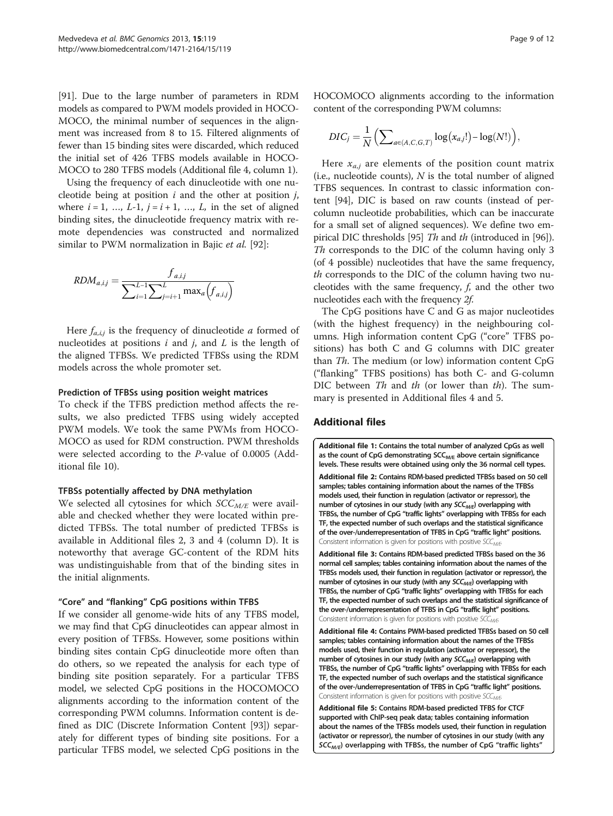<span id="page-8-0"></span>[[91](#page-11-0)]. Due to the large number of parameters in RDM models as compared to PWM models provided in HOCO-MOCO, the minimal number of sequences in the alignment was increased from 8 to 15. Filtered alignments of fewer than 15 binding sites were discarded, which reduced the initial set of 426 TFBS models available in HOCO-MOCO to 280 TFBS models (Additional file 4, column 1).

Using the frequency of each dinucleotide with one nucleotide being at position  $i$  and the other at position  $j$ , where  $i = 1, ..., L-1, j = i + 1, ..., L$ , in the set of aligned binding sites, the dinucleotide frequency matrix with remote dependencies was constructed and normalized similar to PWM normalization in Bajic et al. [\[92\]](#page-11-0):

$$
RDM_{a,i,j} = \frac{f_{a,i,j}}{\sum_{i=1}^{L-1} \sum_{j=i+1}^{L} \max_a(f_{a,i,j})}
$$

Here  $f_{a,i}$  is the frequency of dinucleotide a formed of nucleotides at positions  $i$  and  $j$ , and  $L$  is the length of the aligned TFBSs. We predicted TFBSs using the RDM models across the whole promoter set.

#### Prediction of TFBSs using position weight matrices

To check if the TFBS prediction method affects the results, we also predicted TFBS using widely accepted PWM models. We took the same PWMs from HOCO-MOCO as used for RDM construction. PWM thresholds were selected according to the P-value of 0.0005 (Additional file [10\)](#page-9-0).

#### TFBSs potentially affected by DNA methylation

We selected all cytosines for which  $SCC_{M/E}$  were available and checked whether they were located within predicted TFBSs. The total number of predicted TFBSs is available in Additional files 2, 3 and 4 (column D). It is noteworthy that average GC-content of the RDM hits was undistinguishable from that of the binding sites in the initial alignments.

#### "Core" and "flanking" CpG positions within TFBS

If we consider all genome-wide hits of any TFBS model, we may find that CpG dinucleotides can appear almost in every position of TFBSs. However, some positions within binding sites contain CpG dinucleotide more often than do others, so we repeated the analysis for each type of binding site position separately. For a particular TFBS model, we selected CpG positions in the HOCOMOCO alignments according to the information content of the corresponding PWM columns. Information content is defined as DIC (Discrete Information Content [\[93\]](#page-11-0)) separately for different types of binding site positions. For a particular TFBS model, we selected CpG positions in the HOCOMOCO alignments according to the information content of the corresponding PWM columns:

$$
DIC_j = \frac{1}{N} \left( \sum_{a \in (A, C, G, T)} \log(x_{a,j}!) - \log(N!) \right),
$$

Here  $x_{a,i}$  are elements of the position count matrix (i.e., nucleotide counts),  $N$  is the total number of aligned TFBS sequences. In contrast to classic information content [\[94\]](#page-11-0), DIC is based on raw counts (instead of percolumn nucleotide probabilities, which can be inaccurate for a small set of aligned sequences). We define two em-pirical DIC thresholds [\[95\]](#page-11-0) *Th* and *th* (introduced in [[96](#page-11-0)]). Th corresponds to the DIC of the column having only 3 (of 4 possible) nucleotides that have the same frequency, th corresponds to the DIC of the column having two nucleotides with the same frequency,  $f$ , and the other two nucleotides each with the frequency 2f.

The CpG positions have C and G as major nucleotides (with the highest frequency) in the neighbouring columns. High information content CpG ("core" TFBS positions) has both C and G columns with DIC greater than Th. The medium (or low) information content CpG ("flanking" TFBS positions) has both C- and G-column DIC between  $Th$  and  $th$  (or lower than  $th$ ). The summary is presented in Additional files 4 and 5.

## Additional files

[Additional file 1:](http://www.biomedcentral.com/content/supplementary/1471-2164-15-119-S1.docx) Contains the total number of analyzed CpGs as well as the count of CpG demonstrating  $SCC_{M/E}$  above certain significance levels. These results were obtained using only the 36 normal cell types. [Additional file 2:](http://www.biomedcentral.com/content/supplementary/1471-2164-15-119-S2.xlsx) Contains RDM-based predicted TFBSs based on 50 cell samples; tables containing information about the names of the TFBSs models used, their function in regulation (activator or repressor), the number of cytosines in our study (with any  $SCC_{M/E}$ ) overlapping with TFBSs, the number of CpG "traffic lights" overlapping with TFBSs for each TF, the expected number of such overlaps and the statistical significance of the over-/underrepresentation of TFBS in CpG "traffic light" positions. Consistent information is given for positions with positive SCC<sub>ME</sub>.

[Additional file 3:](http://www.biomedcentral.com/content/supplementary/1471-2164-15-119-S3.xlsx) Contains RDM-based predicted TFBSs based on the 36 normal cell samples; tables containing information about the names of the TFBSs models used, their function in regulation (activator or repressor), the number of cytosines in our study (with any  $SCC<sub>M/E</sub>$ ) overlapping with TFBSs, the number of CpG "traffic lights" overlapping with TFBSs for each TF, the expected number of such overlaps and the statistical significance of the over-/underrepresentation of TFBS in CpG "traffic light" positions. Consistent information is given for positions with positive SCC<sub>ME</sub>

[Additional file 4:](http://www.biomedcentral.com/content/supplementary/1471-2164-15-119-S4.xlsx) Contains PWM-based predicted TFBSs based on 50 cell samples; tables containing information about the names of the TFBSs models used, their function in regulation (activator or repressor), the number of cytosines in our study (with any  $SCC_{M/E}$ ) overlapping with TFBSs, the number of CpG "traffic lights" overlapping with TFBSs for each TF, the expected number of such overlaps and the statistical significance of the over-/underrepresentation of TFBS in CpG "traffic light" positions. Consistent information is given for positions with positive  $SC_{MF}$ .

[Additional file 5:](http://www.biomedcentral.com/content/supplementary/1471-2164-15-119-S5.xlsx) Contains RDM-based predicted TFBS for CTCF supported with ChIP-seq peak data; tables containing information about the names of the TFBSs models used, their function in regulation (activator or repressor), the number of cytosines in our study (with any  $SCC<sub>M/E</sub>$ ) overlapping with TFBSs, the number of CpG "traffic lights"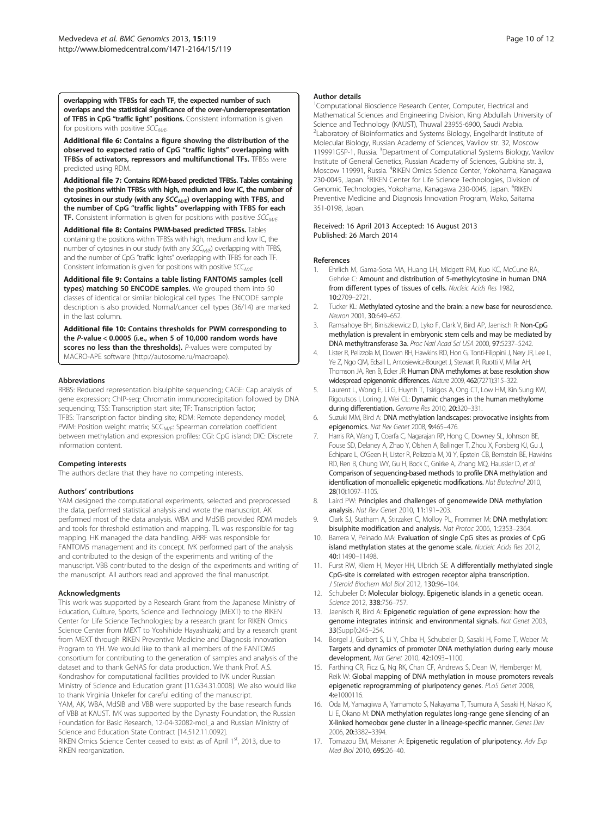<span id="page-9-0"></span>overlapping with TFBSs for each TF, the expected number of such overlaps and the statistical significance of the over-/underrepresentation of TFBS in CpG "traffic light" positions. Consistent information is given for positions with positive  $SCC_{M\text{/}E}$ .

[Additional file 6:](http://www.biomedcentral.com/content/supplementary/1471-2164-15-119-S6.pdf) Contains a figure showing the distribution of the observed to expected ratio of CpG "traffic lights" overlapping with TFBSs of activators, repressors and multifunctional TFs. TFBSs were predicted using RDM.

[Additional file 7:](http://www.biomedcentral.com/content/supplementary/1471-2164-15-119-S7.xlsx) Contains RDM-based predicted TFBSs. Tables containing the positions within TFBSs with high, medium and low IC, the number of cytosines in our study (with any  $SCC_{M/E}$ ) overlapping with TFBS, and the number of CpG "traffic lights" overlapping with TFBS for each **TF.** Consistent information is given for positions with positive  $SCC_{M/E}$ .

[Additional file 8:](http://www.biomedcentral.com/content/supplementary/1471-2164-15-119-S8.xlsx) Contains PWM-based predicted TFBSs. Tables containing the positions within TFBSs with high, medium and low IC, the number of cytosines in our study (with any  $SCC_{ME}$ ) overlapping with TFBS, and the number of CpG "traffic lights" overlapping with TFBS for each TF. Consistent information is given for positions with positive SCC<sub>ME</sub>.

[Additional file 9:](http://www.biomedcentral.com/content/supplementary/1471-2164-15-119-S9.xlsx) Contains a table listing FANTOM5 samples (cell types) matching 50 ENCODE samples. We grouped them into 50 classes of identical or similar biological cell types. The ENCODE sample description is also provided. Normal/cancer cell types (36/14) are marked in the last column.

[Additional file 10:](http://www.biomedcentral.com/content/supplementary/1471-2164-15-119-S10.txt) Contains thresholds for PWM corresponding to the P-value < 0.0005 (i.e., when 5 of 10,000 random words have scores no less than the thresholds). P-values were computed by MACRO-APE software ([http://autosome.ru/macroape\)](http://autosome.ru/macroape).

#### Abbreviations

RRBS: Reduced representation bisulphite sequencing; CAGE: Cap analysis of gene expression; ChIP-seq: Chromatin immunoprecipitation followed by DNA sequencing; TSS: Transcription start site; TF: Transcription factor; TFBS: Transcription factor binding site; RDM: Remote dependency model; PWM: Position weight matrix; SCC<sub>M/E</sub>: Spearman correlation coefficient between methylation and expression profiles; CGI: CpG island; DIC: Discrete information content.

#### Competing interests

The authors declare that they have no competing interests.

#### Authors' contributions

YAM designed the computational experiments, selected and preprocessed the data, performed statistical analysis and wrote the manuscript. AK performed most of the data analysis. WBA and MdSIB provided RDM models and tools for threshold estimation and mapping. TL was responsible for tag mapping. HK managed the data handling. ARRF was responsible for FANTOM5 management and its concept. IVK performed part of the analysis and contributed to the design of the experiments and writing of the manuscript. VBB contributed to the design of the experiments and writing of the manuscript. All authors read and approved the final manuscript.

#### Acknowledgments

This work was supported by a Research Grant from the Japanese Ministry of Education, Culture, Sports, Science and Technology (MEXT) to the RIKEN Center for Life Science Technologies; by a research grant for RIKEN Omics Science Center from MEXT to Yoshihide Hayashizaki; and by a research grant from MEXT through RIKEN Preventive Medicine and Diagnosis Innovation Program to YH. We would like to thank all members of the FANTOM5 consortium for contributing to the generation of samples and analysis of the dataset and to thank GeNAS for data production. We thank Prof. A.S. Kondrashov for computational facilities provided to IVK under Russian Ministry of Science and Education grant [11.G34.31.0008]. We also would like to thank Virginia Unkefer for careful editing of the manuscript. YAM, AK, WBA, MdSIB and VBB were supported by the base research funds of VBB at KAUST. IVK was supported by the Dynasty Foundation, the Russian Foundation for Basic Research, 12-04-32082-mol\_a and Russian Ministry of Science and Education State Contract [14.512.11.0092]. RIKEN Omics Science Center ceased to exist as of April 1<sup>st</sup>, 2013, due to RIKEN reorganization.

#### Author details

<sup>1</sup> Computational Bioscience Research Center, Computer, Electrical and Mathematical Sciences and Engineering Division, King Abdullah University of Science and Technology (KAUST), Thuwal 23955-6900, Saudi Arabia. <sup>2</sup>Laboratory of Bioinformatics and Systems Biology, Engelhardt Institute of Molecular Biology, Russian Academy of Sciences, Vavilov str. 32, Moscow 119991GSP-1, Russia. <sup>3</sup>Department of Computational Systems Biology, Vavilov Institute of General Genetics, Russian Academy of Sciences, Gubkina str. 3, Moscow 119991, Russia. <sup>4</sup>RIKEN Omics Science Center, Yokohama, Kanagawa 230-0045, Japan. <sup>5</sup>RIKEN Center for Life Science Technologies, Division of Genomic Technologies, Yokohama, Kanagawa 230-0045, Japan. <sup>6</sup>RIKEN Preventive Medicine and Diagnosis Innovation Program, Wako, Saitama 351-0198, Japan.

Received: 16 April 2013 Accepted: 16 August 2013 Published: 26 March 2014

#### References

- 1. Ehrlich M, Gama-Sosa MA, Huang LH, Midgett RM, Kuo KC, McCune RA, Gehrke C: Amount and distribution of 5-methylcytosine in human DNA from different types of tissues of cells. Nucleic Acids Res 1982, 10:2709–2721.
- 2. Tucker KL: Methylated cytosine and the brain: a new base for neuroscience. Neuron 2001, 30:649–652.
- 3. Ramsahoye BH, Biniszkiewicz D, Lyko F, Clark V, Bird AP, Jaenisch R: Non-CpG methylation is prevalent in embryonic stem cells and may be mediated by DNA methyltransferase 3a. Proc Natl Acad Sci USA 2000, 97:5237–5242.
- 4. Lister R, Pelizzola M, Dowen RH, Hawkins RD, Hon G, Tonti-Filippini J, Nery JR, Lee L, Ye Z, Ngo QM, Edsall L, Antosiewicz-Bourget J, Stewart R, Ruotti V, Millar AH, Thomson JA, Ren B, Ecker JR: Human DNA methylomes at base resolution show widespread epigenomic differences. Nature 2009, 462(7271):315–322.
- 5. Laurent L, Wong E, Li G, Huynh T, Tsirigos A, Ong CT, Low HM, Kin Sung KW, Rigoutsos I, Loring J, Wei CL: Dynamic changes in the human methylome during differentiation. Genome Res 2010, 20:320–331.
- 6. Suzuki MM, Bird A: DNA methylation landscapes: provocative insights from epigenomics. Nat Rev Genet 2008, 9:465–476.
- 7. Harris RA, Wang T, Coarfa C, Nagarajan RP, Hong C, Downey SL, Johnson BE, Fouse SD, Delaney A, Zhao Y, Olshen A, Ballinger T, Zhou X, Forsberg KJ, Gu J, Echipare L, O'Geen H, Lister R, Pelizzola M, Xi Y, Epstein CB, Bernstein BE, Hawkins RD, Ren B, Chung WY, Gu H, Bock C, Gnirke A, Zhang MQ, Haussler D, et al: Comparison of sequencing-based methods to profile DNA methylation and identification of monoallelic epigenetic modifications. Nat Biotechnol 2010, 28(10):1097–1105.
- 8. Laird PW: Principles and challenges of genomewide DNA methylation analysis. Nat Rev Genet 2010, 11:191–203.
- 9. Clark SJ, Statham A, Stirzaker C, Molloy PL, Frommer M: DNA methylation: bisulphite modification and analysis. Nat Protoc 2006, 1:2353–2364.
- 10. Barrera V, Peinado MA: Evaluation of single CpG sites as proxies of CpG island methylation states at the genome scale. Nucleic Acids Res 2012, 40:11490–11498.
- 11. Furst RW, Kliem H, Meyer HH, Ulbrich SE: A differentially methylated single CpG-site is correlated with estrogen receptor alpha transcription. J Steroid Biochem Mol Biol 2012, 130:96-104.
- 12. Schubeler D: Molecular biology. Epigenetic islands in a genetic ocean. Science 2012, 338:756-757.
- 13. Jaenisch R, Bird A: Epigenetic regulation of gene expression: how the genome integrates intrinsic and environmental signals. Nat Genet 2003, 33(Suppl):245–254.
- 14. Borgel J, Guibert S, Li Y, Chiba H, Schubeler D, Sasaki H, Forne T, Weber M: Targets and dynamics of promoter DNA methylation during early mouse development. Nat Genet 2010, 42:1093–1100.
- 15. Farthing CR, Ficz G, Ng RK, Chan CF, Andrews S, Dean W, Hemberger M, Reik W: Global mapping of DNA methylation in mouse promoters reveals epigenetic reprogramming of pluripotency genes. PLoS Genet 2008, 4:e1000116.
- 16. Oda M, Yamagiwa A, Yamamoto S, Nakayama T, Tsumura A, Sasaki H, Nakao K, Li E, Okano M: DNA methylation regulates long-range gene silencing of an X-linked homeobox gene cluster in a lineage-specific manner. Genes Dev 2006, 20:3382–3394.
- 17. Tomazou EM, Meissner A: Epigenetic regulation of pluripotency. Adv Exp Med Biol 2010, 695:26–40.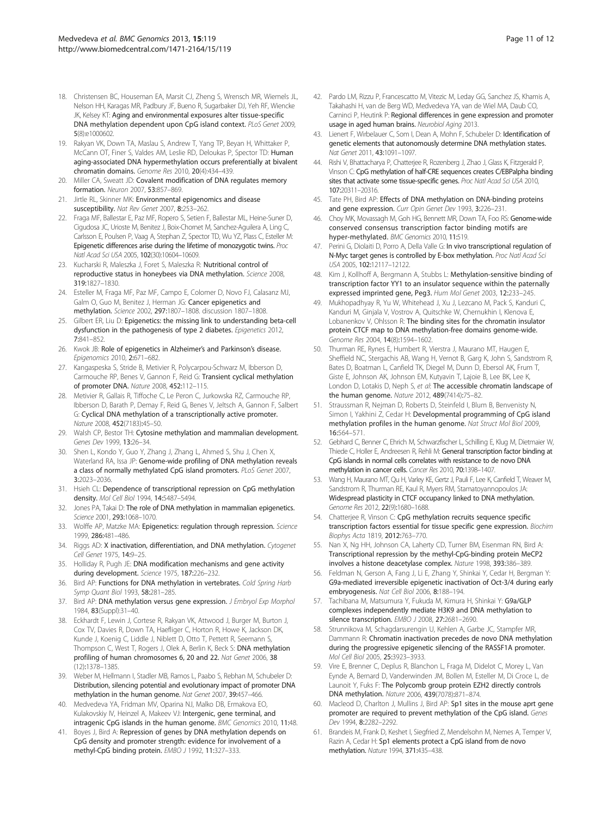- <span id="page-10-0"></span>18. Christensen BC, Houseman EA, Marsit CJ, Zheng S, Wrensch MR, Wiemels JL, Nelson HH, Karagas MR, Padbury JF, Bueno R, Sugarbaker DJ, Yeh RF, Wiencke JK, Kelsey KT: Aging and environmental exposures alter tissue-specific DNA methylation dependent upon CpG island context. PLoS Genet 2009, 5(8):e1000602.
- 19. Rakyan VK, Down TA, Maslau S, Andrew T, Yang TP, Beyan H, Whittaker P, McCann OT, Finer S, Valdes AM, Leslie RD, Deloukas P, Spector TD: Human aging-associated DNA hypermethylation occurs preferentially at bivalent chromatin domains. Genome Res 2010, 20(4):434–439.
- 20. Miller CA, Sweatt JD: Covalent modification of DNA regulates memory formation. Neuron 2007, 53:857–869.
- 21. Jirtle RL, Skinner MK: Environmental epigenomics and disease susceptibility. Nat Rev Genet 2007, 8:253–262.
- 22. Fraga MF, Ballestar E, Paz MF, Ropero S, Setien F, Ballestar ML, Heine-Suner D, Cigudosa JC, Urioste M, Benitez J, Boix-Chornet M, Sanchez-Aguilera A, Ling C, Carlsson E, Poulsen P, Vaag A, Stephan Z, Spector TD, Wu YZ, Plass C, Esteller M: Epigenetic differences arise during the lifetime of monozygotic twins. Proc Natl Acad Sci USA 2005, 102(30):10604–10609.
- 23. Kucharski R, Maleszka J, Foret S, Maleszka R: Nutritional control of reproductive status in honeybees via DNA methylation. Science 2008, 319:1827–1830.
- 24. Esteller M, Fraga MF, Paz MF, Campo E, Colomer D, Novo FJ, Calasanz MJ, Galm O, Guo M, Benitez J, Herman JG: Cancer epigenetics and methylation. Science 2002, 297:1807–1808. discussion 1807–1808.
- 25. Gilbert ER, Liu D: Epigenetics: the missing link to understanding beta-cell dysfunction in the pathogenesis of type 2 diabetes. Epigenetics 2012, 7:841–852.
- 26. Kwok JB: Role of epigenetics in Alzheimer's and Parkinson's disease. Epigenomics 2010, 2:671–682.
- 27. Kangaspeska S, Stride B, Metivier R, Polycarpou-Schwarz M, Ibberson D, Carmouche RP, Benes V, Gannon F, Reid G: Transient cyclical methylation of promoter DNA. Nature 2008, 452:112–115.
- 28. Metivier R, Gallais R, Tiffoche C, Le Peron C, Jurkowska RZ, Carmouche RP, Ibberson D, Barath P, Demay F, Reid G, Benes V, Jeltsch A, Gannon F, Salbert G: Cyclical DNA methylation of a transcriptionally active promoter. Nature 2008, 452(7183):45–50.
- 29. Walsh CP, Bestor TH: Cytosine methylation and mammalian development. Genes Dev 1999, 13:26–34.
- 30. Shen L, Kondo Y, Guo Y, Zhang J, Zhang L, Ahmed S, Shu J, Chen X, Waterland RA, Issa JP: Genome-wide profiling of DNA methylation reveals a class of normally methylated CpG island promoters. PLoS Genet 2007, 3:2023–2036.
- 31. Hsieh CL: Dependence of transcriptional repression on CpG methylation density. Mol Cell Biol 1994, 14:5487–5494.
- 32. Jones PA, Takai D: The role of DNA methylation in mammalian epigenetics. Science 2001, 293:1068–1070.
- 33. Wolffe AP, Matzke MA: Epigenetics: regulation through repression. Science 1999, 286:481–486.
- 34. Riggs AD: X inactivation, differentiation, and DNA methylation. Cytogenet Cell Genet 1975, 14:9–25.
- 35. Holliday R, Pugh JE: DNA modification mechanisms and gene activity during development. Science 1975, 187:226–232.
- 36. Bird AP: Functions for DNA methylation in vertebrates. Cold Spring Harb Symp Quant Biol 1993, 58:281–285.
- 37. Bird AP: DNA methylation versus gene expression. J Embryol Exp Morphol 1984, 83(Suppl):31–40.
- 38. Eckhardt F, Lewin J, Cortese R, Rakyan VK, Attwood J, Burger M, Burton J, Cox TV, Davies R, Down TA, Haefliger C, Horton R, Howe K, Jackson DK, Kunde J, Koenig C, Liddle J, Niblett D, Otto T, Pettett R, Seemann S, Thompson C, West T, Rogers J, Olek A, Berlin K, Beck S: DNA methylation profiling of human chromosomes 6, 20 and 22. Nat Genet 2006, 38 (12):1378–1385.
- 39. Weber M, Hellmann I, Stadler MB, Ramos L, Paabo S, Rebhan M, Schubeler D: Distribution, silencing potential and evolutionary impact of promoter DNA methylation in the human genome. Nat Genet 2007, 39:457–466.
- 40. Medvedeva YA, Fridman MV, Oparina NJ, Malko DB, Ermakova EO, Kulakovskiy IV, Heinzel A, Makeev VJ: Intergenic, gene terminal, and intragenic CpG islands in the human genome. BMC Genomics 2010, 11:48.
- 41. Boyes J, Bird A: Repression of genes by DNA methylation depends on CpG density and promoter strength: evidence for involvement of a methyl-CpG binding protein. EMBO J 1992, 11:327–333.
- 42. Pardo LM, Rizzu P, Francescatto M, Vitezic M, Leday GG, Sanchez JS, Khamis A, Takahashi H, van de Berg WD, Medvedeva YA, van de Wiel MA, Daub CO, Carninci P, Heutink P: Regional differences in gene expression and promoter usage in aged human brains. Neurobiol Aging 2013.
- 43. Lienert F, Wirbelauer C, Som I, Dean A, Mohn F, Schubeler D: Identification of genetic elements that autonomously determine DNA methylation states. Nat Genet 2011, 43:1091–1097.
- 44. Rishi V, Bhattacharya P, Chatterjee R, Rozenberg J, Zhao J, Glass K, Fitzgerald P, Vinson C: CpG methylation of half-CRE sequences creates C/EBPalpha binding sites that activate some tissue-specific genes. Proc Natl Acad Sci USA 2010, 107:20311–20316.
- 45. Tate PH, Bird AP: Effects of DNA methylation on DNA-binding proteins and gene expression. Curr Opin Genet Dev 1993, 3:226–231.
- 46. Choy MK, Movassagh M, Goh HG, Bennett MR, Down TA, Foo RS: Genome-wide conserved consensus transcription factor binding motifs are hyper-methylated. BMC Genomics 2010, 11:519.
- 47. Perini G, Diolaiti D, Porro A, Della Valle G: In vivo transcriptional regulation of N-Myc target genes is controlled by E-box methylation. Proc Natl Acad Sci USA 2005, 102:12117–12122.
- 48. Kim J, Kollhoff A, Bergmann A, Stubbs L: Methylation-sensitive binding of transcription factor YY1 to an insulator sequence within the paternally expressed imprinted gene, Peg3. Hum Mol Genet 2003, 12:233–245.
- 49. Mukhopadhyay R, Yu W, Whitehead J, Xu J, Lezcano M, Pack S, Kanduri C, Kanduri M, Ginjala V, Vostrov A, Quitschke W, Chernukhin I, Klenova E, Lobanenkov V, Ohlsson R: The binding sites for the chromatin insulator protein CTCF map to DNA methylation-free domains genome-wide. Genome Res 2004, 14(8):1594–1602.
- 50. Thurman RE, Rynes E, Humbert R, Vierstra J, Maurano MT, Haugen E, Sheffield NC, Stergachis AB, Wang H, Vernot B, Garg K, John S, Sandstrom R, Bates D, Boatman L, Canfield TK, Diegel M, Dunn D, Ebersol AK, Frum T, Giste E, Johnson AK, Johnson EM, Kutyavin T, Lajoie B, Lee BK, Lee K, London D, Lotakis D, Neph S, et al: The accessible chromatin landscape of the human genome. Nature 2012, 489(7414):75–82.
- 51. Straussman R, Nejman D, Roberts D, Steinfeld I, Blum B, Benvenisty N, Simon I, Yakhini Z, Cedar H: Developmental programming of CpG island methylation profiles in the human genome. Nat Struct Mol Biol 2009, 16:564–571.
- 52. Gebhard C, Benner C, Ehrich M, Schwarzfischer L, Schilling E, Klug M, Dietmaier W, Thiede C, Holler E, Andreesen R, Rehli M: General transcription factor binding at CpG islands in normal cells correlates with resistance to de novo DNA methylation in cancer cells. Cancer Res 2010, 70:1398–1407.
- 53. Wang H, Maurano MT, Qu H, Varley KE, Gertz J, Pauli F, Lee K, Canfield T, Weaver M, Sandstrom R, Thurman RE, Kaul R, Myers RM, Stamatoyannopoulos JA: Widespread plasticity in CTCF occupancy linked to DNA methylation. Genome Res 2012, 22(9):1680–1688.
- 54. Chatterjee R, Vinson C: CpG methylation recruits sequence specific transcription factors essential for tissue specific gene expression. Biochim Biophys Acta 1819, 2012:763–770.
- 55. Nan X, Ng HH, Johnson CA, Laherty CD, Turner BM, Eisenman RN, Bird A: Transcriptional repression by the methyl-CpG-binding protein MeCP2 involves a histone deacetylase complex. Nature 1998, 393:386–389.
- 56. Feldman N, Gerson A, Fang J, Li E, Zhang Y, Shinkai Y, Cedar H, Bergman Y: G9a-mediated irreversible epigenetic inactivation of Oct-3/4 during early embryogenesis. Nat Cell Biol 2006, 8:188–194.
- 57. Tachibana M, Matsumura Y, Fukuda M, Kimura H, Shinkai Y: G9a/GLP complexes independently mediate H3K9 and DNA methylation to silence transcription. EMBO J 2008, 27:2681-2690.
- 58. Strunnikova M, Schagdarsurengin U, Kehlen A, Garbe JC, Stampfer MR, Dammann R: Chromatin inactivation precedes de novo DNA methylation during the progressive epigenetic silencing of the RASSF1A promoter. Mol Cell Biol 2005, 25:3923–3933.
- 59. Vire E, Brenner C, Deplus R, Blanchon L, Fraga M, Didelot C, Morey L, Van Eynde A, Bernard D, Vanderwinden JM, Bollen M, Esteller M, Di Croce L, de Launoit Y, Fuks F: The Polycomb group protein EZH2 directly controls DNA methylation. Nature 2006, 439(7078):871–874.
- 60. Macleod D, Charlton J, Mullins J, Bird AP: Sp1 sites in the mouse aprt gene promoter are required to prevent methylation of the CpG island. Genes Dev 1994, 8:2282–2292.
- 61. Brandeis M, Frank D, Keshet I, Siegfried Z, Mendelsohn M, Nemes A, Temper V, Razin A, Cedar H: Sp1 elements protect a CpG island from de novo methylation. Nature 1994, 371:435–438.